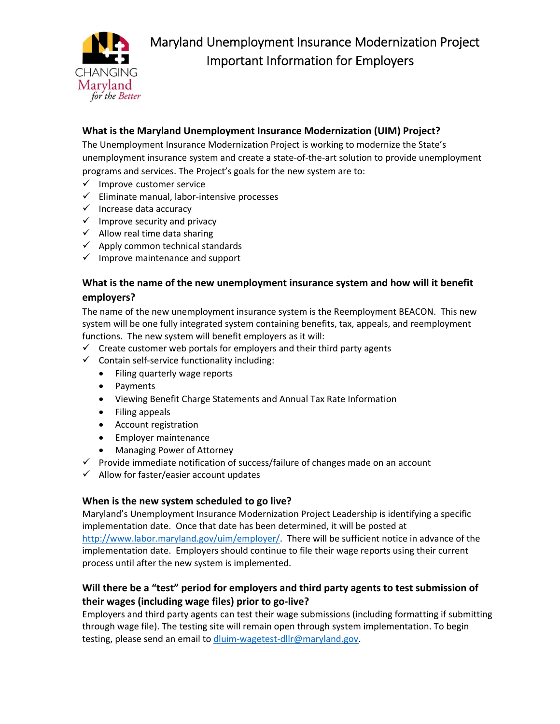

# **What is the Maryland Unemployment Insurance Modernization (UIM) Project?**

The Unemployment Insurance Modernization Project is working to modernize the State's unemployment insurance system and create a state‐of‐the‐art solution to provide unemployment programs and services. The Project's goals for the new system are to:

- $\checkmark$  Improve customer service
- Eliminate manual, labor‐intensive processes
- $\checkmark$  Increase data accuracy
- $\checkmark$  Improve security and privacy
- $\checkmark$  Allow real time data sharing
- $\checkmark$  Apply common technical standards
- $\checkmark$  Improve maintenance and support

### **What is the name of the new unemployment insurance system and how will it benefit employers?**

The name of the new unemployment insurance system is the Reemployment BEACON. This new system will be one fully integrated system containing benefits, tax, appeals, and reemployment functions. The new system will benefit employers as it will:

- $\checkmark$  Create customer web portals for employers and their third party agents
- $\checkmark$  Contain self-service functionality including:
	- Filing quarterly wage reports
	- Payments
	- Viewing Benefit Charge Statements and Annual Tax Rate Information
	- Filing appeals
	- Account registration
	- **•** Employer maintenance
	- Managing Power of Attorney
- $\checkmark$  Provide immediate notification of success/failure of changes made on an account
- $\checkmark$  Allow for faster/easier account updates

### **When is the new system scheduled to go live?**

Maryland's Unemployment Insurance Modernization Project Leadership is identifying a specific implementation date. Once that date has been determined, it will be posted at http://www.labor.maryland.gov/uim/employer/. There will be sufficient notice in advance of the implementation date. Employers should continue to file their wage reports using their current process until after the new system is implemented.

## **Will there be a "test" period for employers and third party agents to test submission of their wages (including wage files) prior to go‐live?**

Employers and third party agents can test their wage submissions (including formatting if submitting through wage file). The testing site will remain open through system implementation. To begin testing, please send an email to dluim-wagetest-dllr@maryland.gov.